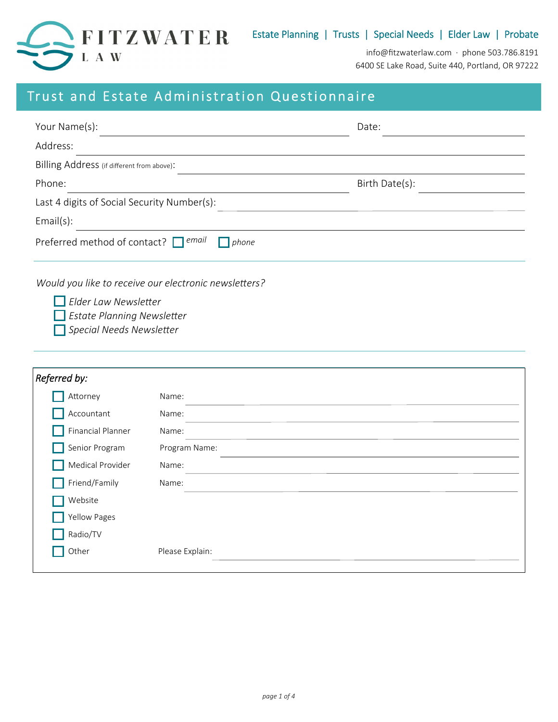

info@fitzwaterlaw.com · phone 503.786.8191 6400 SE Lake Road, Suite 440, Portland, OR 97222

# Trust and Estate Administration Questionnaire

| Your Name(s):                                                                                                                                                                                                                 | Date:          |  |
|-------------------------------------------------------------------------------------------------------------------------------------------------------------------------------------------------------------------------------|----------------|--|
| Address:                                                                                                                                                                                                                      |                |  |
| Billing Address (if different from above):                                                                                                                                                                                    |                |  |
| Phone:                                                                                                                                                                                                                        | Birth Date(s): |  |
| Last 4 digits of Social Security Number(s):                                                                                                                                                                                   |                |  |
| Email(s):                                                                                                                                                                                                                     |                |  |
| ' email<br>Preferred method of contact?<br>phone                                                                                                                                                                              |                |  |
| . The contract of the contract of the contract of the contract of the contract of the contract of the contract of the contract of the contract of the contract of the contract of the contract of the contract of the contrac |                |  |

*Would you like to receive our electronic newsletters?* 

**Elder Law Newsletter** 

**Estate Planning Newsletter** 

**Special Needs Newsletter** 

| Referred by:      |                 |
|-------------------|-----------------|
| Attorney          | Name:           |
| Accountant        | Name:           |
| Financial Planner | Name:           |
| Senior Program    | Program Name:   |
| Medical Provider  | Name:           |
| Friend/Family     | Name:           |
| Website           |                 |
| Yellow Pages      |                 |
| Radio/TV          |                 |
| Other             | Please Explain: |
|                   |                 |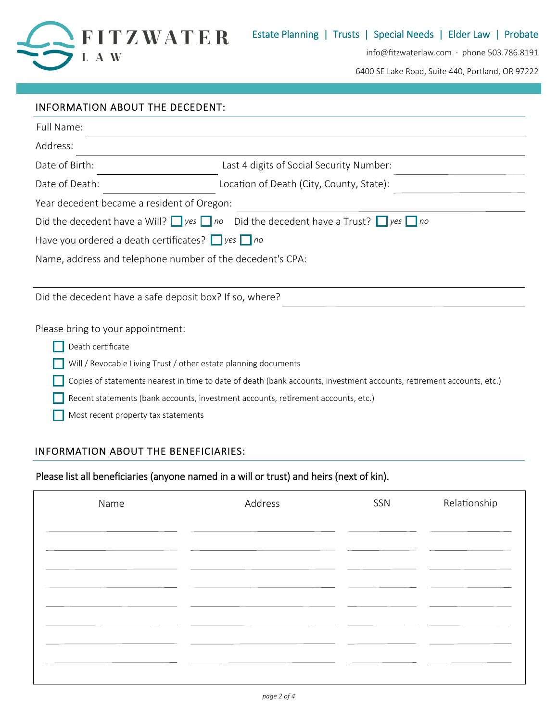

info@fitzwaterlaw.com · phone 503.786.8191

6400 SE Lake Road, Suite 440, Portland, OR 97222

| INFORMATION ABOUT THE DECEDENT:                                                   |                                                                                                                       |
|-----------------------------------------------------------------------------------|-----------------------------------------------------------------------------------------------------------------------|
| Full Name:                                                                        |                                                                                                                       |
| Address:                                                                          |                                                                                                                       |
| Date of Birth:                                                                    | Last 4 digits of Social Security Number:                                                                              |
| Date of Death:                                                                    | Location of Death (City, County, State):                                                                              |
| Year decedent became a resident of Oregon:                                        |                                                                                                                       |
|                                                                                   | Did the decedent have a Will? $\Box$ yes $\Box$ no Did the decedent have a Trust? $\Box$ yes $\Box$ no                |
| Have you ordered a death certificates? $\Box$ yes $\Box$ no                       |                                                                                                                       |
| Name, address and telephone number of the decedent's CPA:                         |                                                                                                                       |
|                                                                                   |                                                                                                                       |
| Did the decedent have a safe deposit box? If so, where?                           |                                                                                                                       |
| Please bring to your appointment:                                                 |                                                                                                                       |
| Death certificate                                                                 |                                                                                                                       |
| Will / Revocable Living Trust / other estate planning documents                   |                                                                                                                       |
|                                                                                   | Copies of statements nearest in time to date of death (bank accounts, investment accounts, retirement accounts, etc.) |
| Recent statements (bank accounts, investment accounts, retirement accounts, etc.) |                                                                                                                       |

Most recent property tax statements

### INFORMATION ABOUT THE BENEFICIARIES:

## Please list all beneficiaries (anyone named in a will or trust) and heirs (next of kin).

| Name | Address | SSN | Relationship |
|------|---------|-----|--------------|
|      |         |     |              |
|      |         |     |              |
|      |         |     |              |
|      |         |     |              |
|      |         |     |              |
|      |         |     |              |
|      |         |     |              |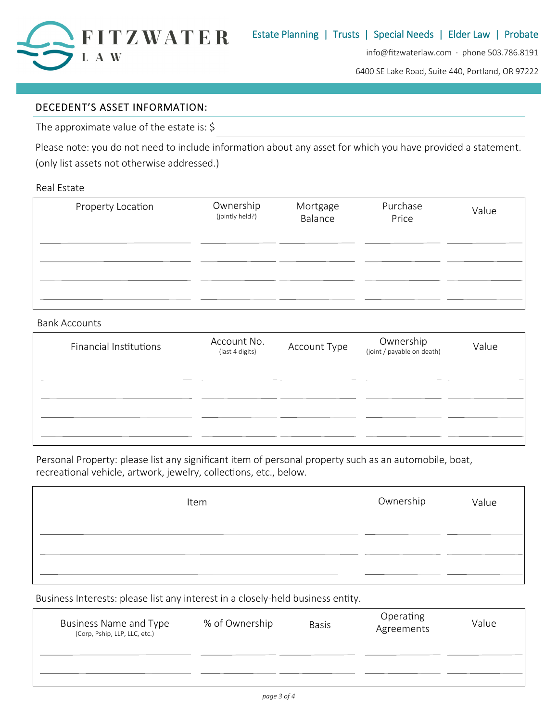

info@fitzwaterlaw.com · phone 503.786.8191

6400 SE Lake Road, Suite 440, Portland, OR 97222

### DECEDENT'S ASSET INFORMATION:

The approximate value of the estate is: \$

Please note: you do not need to include information about any asset for which you have provided a statement. (only list assets not otherwise addressed.)

Real Estate

| Property Location | Ownership<br>(jointly held?) | Mortgage<br>Balance | Purchase<br>Price | Value |
|-------------------|------------------------------|---------------------|-------------------|-------|
|                   |                              |                     |                   |       |
|                   |                              |                     |                   |       |

#### Bank Accounts

| Financial Institutions | Account No.<br>(last 4 digits) | Account Type | Ownership<br>(joint / payable on death) | Value |
|------------------------|--------------------------------|--------------|-----------------------------------------|-------|
|                        |                                |              |                                         |       |
|                        |                                |              |                                         |       |
|                        |                                |              |                                         |       |

Personal Property: please list any significant item of personal property such as an automobile, boat, recreational vehicle, artwork, jewelry, collections, etc., below.

| Item | Ownership | Value |
|------|-----------|-------|
|      |           |       |
|      |           |       |

Business Interests: please list any interest in a closely-held business entity.

| Business Name and Type<br>(Corp, Pship, LLP, LLC, etc.) | % of Ownership | <b>Basis</b> | Operating<br>Agreements | Value |
|---------------------------------------------------------|----------------|--------------|-------------------------|-------|
|                                                         |                |              |                         |       |